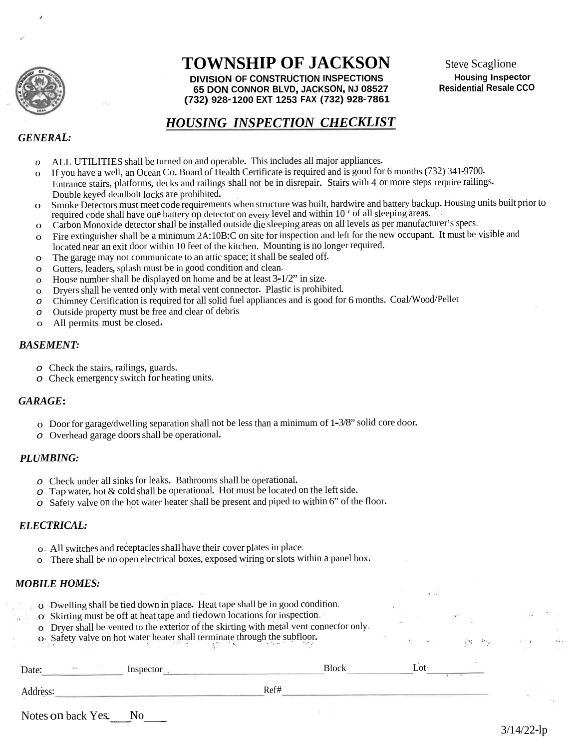

# **TOWNSHIP OF JACKSON**

**DIVISION OF CONSTRUCTION INSPECTIONS 65 DON CONNOR BLVD, JACKSON, NJ 08527 (732) 928-1200 EXT 1253 FAX (732) 928-7861**

### *HOUSING INSPECTION CHECKLIST*

### *GENERAL:*

- *<sup>o</sup>* ALL UTILITIES shall be turned on and operable. This includes all major appliances.
- <sup>o</sup> If you have <sup>a</sup> well, an Ocean Co. Board of Health Certificate isrequired and is goo<sup>d</sup> for <sup>6</sup> months (732) 341-9700. Entrance stairs, <sup>p</sup>latforms, decks and railings shall not be in disrepair. Stairs with <sup>4</sup> or more steps require railings. Double keyed deadbolt locks are prohibited.
- <sup>o</sup> Smoke Detectors must meet code requirements when structure was built, hardwire and battery backup. Housing units built prior to required code shall have one battery op detector on every level and within 10  $\cdot$  of all sleeping areas.
- <sup>o</sup> Carbon Monoxide detector shall be installed outside die sleeping areas on all levels as per manufacturer's specs,
- <sup>o</sup> Fire extinguisher shall be <sup>a</sup> minimum 2A:10B:C on site for inspection and left for the new occupant. It must be visible and located near an exit door within 10 feet of the kitchen. Mounting is no longer required,
- <sup>o</sup> The garage may not communicate to an attic space; it shall be sealed off.
- o Gutters, leaders, splash must be in good condition and clean.
- <sup>o</sup> House number shall be displayed on home and be at least <sup>3</sup>-1/2" in size,
- <sup>o</sup> Dryers shall be vented only with metal vent connector. Plastic is prohibited.
- *<sup>o</sup>* Chimney Certification is required for allsolid fuel appliances and is goo<sup>d</sup> for <sup>6</sup> months. Coal/Wood/Pellet
- *<sup>o</sup>* Outside property must be free and clear of debris
- <sup>o</sup> All permits must be closed.

#### *BASEMENT:*

- *<sup>o</sup>* Check the stairs, railings, guards.
- *<sup>o</sup>* Check emergency switch for heating units.

### *GARAGE***:**

- <sup>o</sup> Door for garage/dwelling separation shall not be less than <sup>a</sup> minimum of 1-3/8" solid core door.
- *<sup>o</sup>* Overhead garage doorsshall be operational.

### *PLUMBING:*

- *<sup>o</sup>* Check under all sinks for leaks. Bathrooms shall be operational.
- *<sup>o</sup>* Tap water, hot & cold shall be operational. Hot must be located on the leftside.
- *<sup>o</sup>* Safety valve on the hot water heater shall be presen<sup>t</sup> and <sup>p</sup>iped to within 6" of the floor.

### *ELECTRICAL:*

- <sup>o</sup>. All switches and receptaclesshall have their cover plates in place,
- <sup>o</sup> There shall be no open electrical boxes, expose<sup>d</sup> wiring orslots within <sup>a</sup> pane<sup>l</sup> box.

### *MOBILE HOMES:*

- o. Dwelling shall be tied down in <sup>p</sup>lace. Heat tape shall be in goo<sup>d</sup> condition,
- o ' Skirting must be off at heat tape and tiedown locations for inspection,
- <sup>o</sup> Dryer shall be vented to the exterior of the skirting with metal vent connector only,
- <sup>o</sup> Safety valve on hot water heater shall terminate through the subfloor.

| $\sim$<br>Date: | Inspector |      | <b>Block</b> | Lot <sup>.</sup> |
|-----------------|-----------|------|--------------|------------------|
| Address:        |           | Ref# |              |                  |

Notes on back Yes\_ No

 $\mathcal{L}^{(n)} = \mathcal{L}^{(n)}$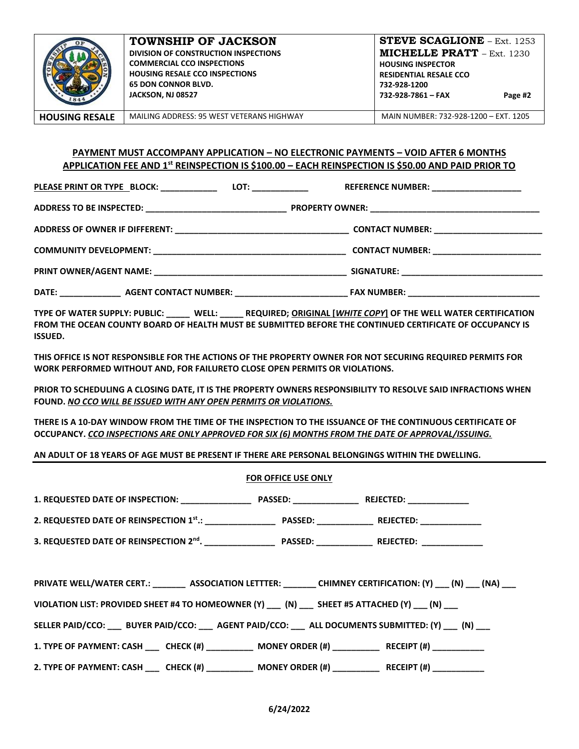

**TOWNSHIP OF JACKSON DIVISION OF CONSTRUCTION INSPECTIONS COMMERCIAL CCO INSPECTIONS HOUSING RESALE CCO INSPECTIONS 65 DON CONNOR BLVD. JACKSON, NJ 08527** 

**HOUSING RESALE** MAILING ADDRESS: 95 WEST VETERANS HIGHWAY MAIN NUMBER: 732-928-1200 – EXT. 1205

### **PAYMENT MUST ACCOMPANY APPLICATION – NO ELECTRONIC PAYMENTS – VOID AFTER 6 MONTHS APPLICATION FEE AND 1st REINSPECTION IS \$100.00 – EACH REINSPECTION IS \$50.00 AND PAID PRIOR TO**

PLEASE PRINT OR TYPE \_BLOCK: \_\_\_\_\_\_\_\_\_\_\_\_\_\_\_\_\_\_\_\_\_\_\_ LOT: \_\_\_\_\_\_\_\_\_\_\_\_\_\_\_\_\_\_\_\_\_\_\_ REFERENCE NUMBER: \_\_\_\_\_\_\_\_\_\_

**ADDRESS TO BE INSPECTED: \_\_\_\_\_\_\_\_\_\_\_\_\_\_\_\_\_\_\_\_\_\_\_\_\_\_\_\_\_\_ PROPERTY OWNER: \_\_\_\_\_\_\_\_\_\_\_\_\_\_\_\_\_\_\_\_\_\_\_\_\_\_\_\_\_\_\_\_\_\_\_\_** 

**ADDRESS OF OWNER IF DIFFERENT: \_\_\_\_\_\_\_\_\_\_\_\_\_\_\_\_\_\_\_\_\_\_\_\_\_\_\_\_\_\_\_\_\_\_\_\_\_ CONTACT NUMBER: \_\_\_\_\_\_\_\_\_\_\_\_\_\_\_\_\_\_\_\_\_\_\_** 

| <b>COMMUNITY DEVELOPMENT:</b> | <b>CONTACT NUMBER:</b> |  |
|-------------------------------|------------------------|--|
|                               |                        |  |
|                               |                        |  |

**PRINT OWNER/AGENT NAME: \_\_\_\_\_\_\_\_\_\_\_\_\_\_\_\_\_\_\_\_\_\_\_\_\_\_\_\_\_\_\_\_\_\_\_\_\_\_\_\_\_ SIGNATURE: \_\_\_\_\_\_\_\_\_\_\_\_\_\_\_\_\_\_\_\_\_\_\_\_\_\_\_\_\_\_** 

**DATE: \_\_\_\_\_\_\_\_\_\_\_\_\_ AGENT CONTACT NUMBER: \_\_\_\_\_\_\_\_\_\_\_\_\_\_\_\_\_\_\_\_\_\_\_\_ FAX NUMBER: \_\_\_\_\_\_\_\_\_\_\_\_\_\_\_\_\_\_\_\_\_\_\_\_\_\_\_\_** 

**TYPE OF WATER SUPPLY: PUBLIC: \_\_\_\_\_ WELL: \_\_\_\_\_ REQUIRED; ORIGINAL [***WHITE COPY***] OF THE WELL WATER CERTIFICATION FROM THE OCEAN COUNTY BOARD OF HEALTH MUST BE SUBMITTED BEFORE THE CONTINUED CERTIFICATE OF OCCUPANCY IS ISSUED.** 

**THIS OFFICE IS NOT RESPONSIBLE FOR THE ACTIONS OF THE PROPERTY OWNER FOR NOT SECURING REQUIRED PERMITS FOR WORK PERFORMED WITHOUT AND, FOR FAILURETO CLOSE OPEN PERMITS OR VIOLATIONS.** 

**PRIOR TO SCHEDULING A CLOSING DATE, IT IS THE PROPERTY OWNERS RESPONSIBILITY TO RESOLVE SAID INFRACTIONS WHEN FOUND.** *NO CCO WILL BE ISSUED WITH ANY OPEN PERMITS OR VIOLATIONS.* 

**THERE IS A 10-DAY WINDOW FROM THE TIME OF THE INSPECTION TO THE ISSUANCE OF THE CONTINUOUS CERTIFICATE OF OCCUPANCY.** *CCO INSPECTIONS ARE ONLY APPROVED FOR SIX (6) MONTHS FROM THE DATE OF APPROVAL/ISSUING.* 

**AN ADULT OF 18 YEARS OF AGE MUST BE PRESENT IF THERE ARE PERSONAL BELONGINGS WITHIN THE DWELLING.** 

### **FOR OFFICE USE ONLY**

| PRIVATE WELL/WATER CERT.: ________ ASSOCIATION LETTTER: _______ CHIMNEY CERTIFICATION: (Y) ___ (N) ___ (NA) ___ |  |  |  |  |  |
|-----------------------------------------------------------------------------------------------------------------|--|--|--|--|--|
| VIOLATION LIST: PROVIDED SHEET #4 TO HOMEOWNER (Y) ___ (N) ___ SHEET #5 ATTACHED (Y) ___ (N) ___                |  |  |  |  |  |
| SELLER PAID/CCO: BUYER PAID/CCO: AGENT PAID/CCO: ALL DOCUMENTS SUBMITTED: (Y) (N)                               |  |  |  |  |  |
| 1. TYPE OF PAYMENT: CASH _____ CHECK (#) ____________ MONEY ORDER (#) ___________ RECEIPT (#) ___________       |  |  |  |  |  |
| 2. TYPE OF PAYMENT: CASH _____ CHECK (#) _____________ MONEY ORDER (#) ___________ RECEIPT (#) ___________      |  |  |  |  |  |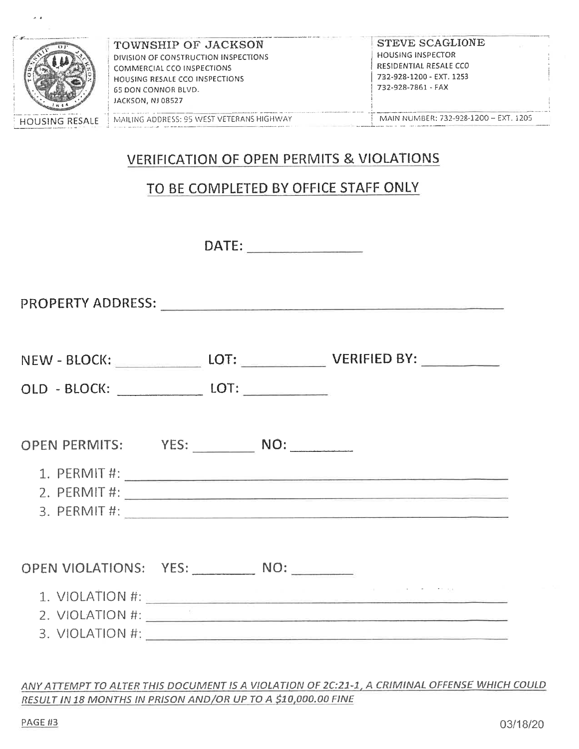

# **VERIFICATION OF OPEN PERMITS & VIOLATIONS**

## TO BE COMPLETED BY OFFICE STAFF ONLY

PROPERTY ADDRESS: The contract of the contract of the contract of the contract of the contract of the contract of the contract of the contract of the contract of the contract of the contract of the contract of the contract

 $\lambda = 0$ 

|                               |  | NEW - BLOCK: LOT: ______________ LOT: _____________________ VERIFIED BY: ________ |
|-------------------------------|--|-----------------------------------------------------------------------------------|
|                               |  |                                                                                   |
| OPEN PERMITS: YES: NO: NO:    |  |                                                                                   |
|                               |  |                                                                                   |
|                               |  |                                                                                   |
|                               |  |                                                                                   |
| OPEN VIOLATIONS: YES: NO: NO: |  |                                                                                   |
|                               |  | 1. VIOLATION #:                                                                   |

ANY ATTEMPT TO ALTER THIS DOCUMENT IS A VIOLATION OF 2C:21-1, A CRIMINAL OFFENSE WHICH COULD RESULT IN 18 MONTHS IN PRISON AND/OR UP TO A \$10,000.00 FINE